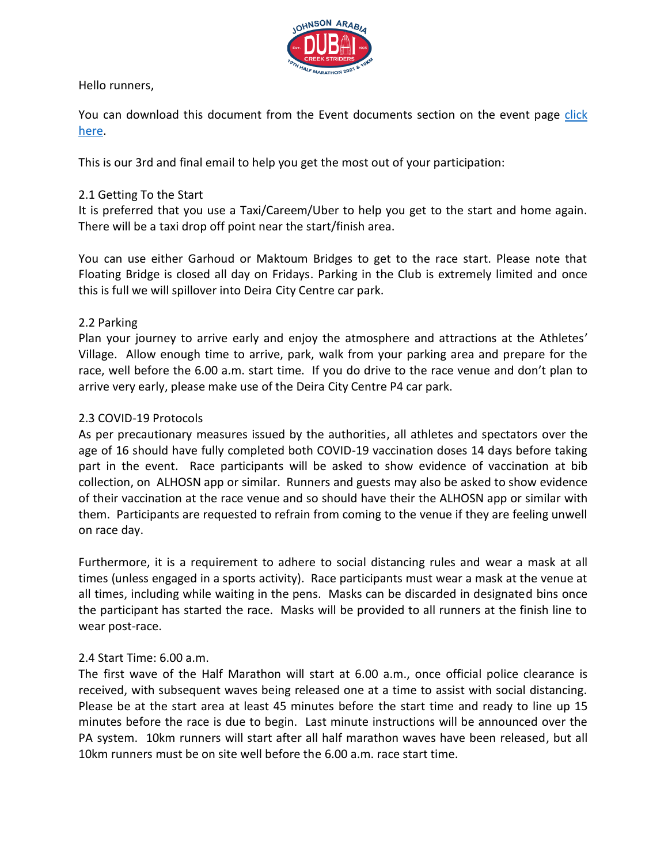

Hello runners,

You can download this document from the Event documents section on the event page [click](https://www.hopasports.com/en/clubaccount/dcs/event/johnson-arabia-dubai-creek-striders-half-marathon-10km-2021/documents)  [here.](https://www.hopasports.com/en/clubaccount/dcs/event/johnson-arabia-dubai-creek-striders-half-marathon-10km-2021/documents)

This is our 3rd and final email to help you get the most out of your participation:

# 2.1 Getting To the Start

It is preferred that you use a Taxi/Careem/Uber to help you get to the start and home again. There will be a taxi drop off point near the start/finish area.

You can use either Garhoud or Maktoum Bridges to get to the race start. Please note that Floating Bridge is closed all day on Fridays. Parking in the Club is extremely limited and once this is full we will spillover into Deira City Centre car park.

# 2.2 Parking

Plan your journey to arrive early and enjoy the atmosphere and attractions at the Athletes' Village. Allow enough time to arrive, park, walk from your parking area and prepare for the race, well before the 6.00 a.m. start time. If you do drive to the race venue and don't plan to arrive very early, please make use of the Deira City Centre P4 car park.

# 2.3 COVID-19 Protocols

As per precautionary measures issued by the authorities, all athletes and spectators over the age of 16 should have fully completed both COVID-19 vaccination doses 14 days before taking part in the event. Race participants will be asked to show evidence of vaccination at bib collection, on ALHOSN app or similar. Runners and guests may also be asked to show evidence of their vaccination at the race venue and so should have their the ALHOSN app or similar with them. Participants are requested to refrain from coming to the venue if they are feeling unwell on race day.

Furthermore, it is a requirement to adhere to social distancing rules and wear a mask at all times (unless engaged in a sports activity). Race participants must wear a mask at the venue at all times, including while waiting in the pens. Masks can be discarded in designated bins once the participant has started the race. Masks will be provided to all runners at the finish line to wear post-race.

# 2.4 Start Time: 6.00 a.m.

The first wave of the Half Marathon will start at 6.00 a.m., once official police clearance is received, with subsequent waves being released one at a time to assist with social distancing. Please be at the start area at least 45 minutes before the start time and ready to line up 15 minutes before the race is due to begin. Last minute instructions will be announced over the PA system. 10km runners will start after all half marathon waves have been released, but all 10km runners must be on site well before the 6.00 a.m. race start time.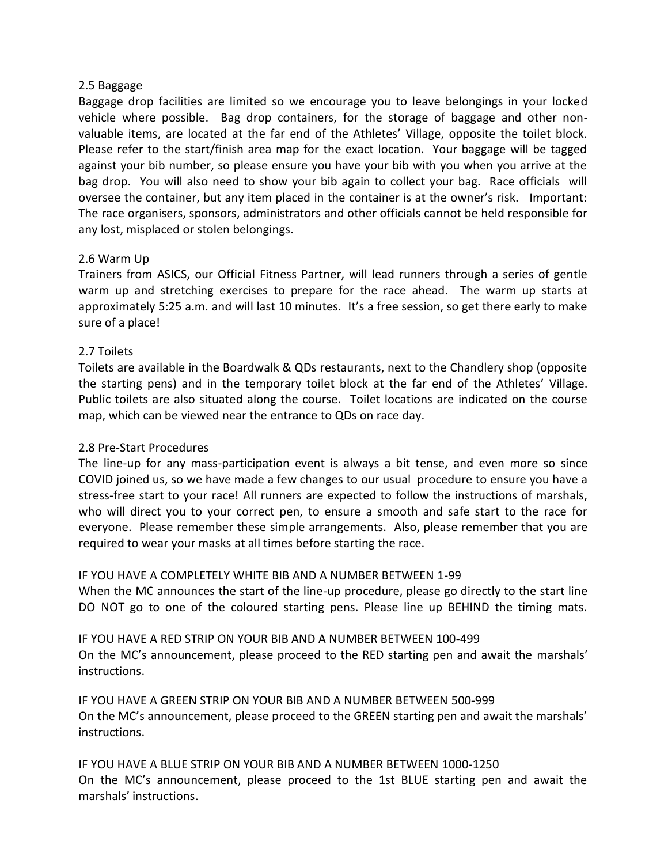### 2.5 Baggage

Baggage drop facilities are limited so we encourage you to leave belongings in your locked vehicle where possible. Bag drop containers, for the storage of baggage and other nonvaluable items, are located at the far end of the Athletes' Village, opposite the toilet block. Please refer to the start/finish area map for the exact location. Your baggage will be tagged against your bib number, so please ensure you have your bib with you when you arrive at the bag drop. You will also need to show your bib again to collect your bag. Race officials will oversee the container, but any item placed in the container is at the owner's risk. Important: The race organisers, sponsors, administrators and other officials cannot be held responsible for any lost, misplaced or stolen belongings.

# 2.6 Warm Up

Trainers from ASICS, our Official Fitness Partner, will lead runners through a series of gentle warm up and stretching exercises to prepare for the race ahead. The warm up starts at approximately 5:25 a.m. and will last 10 minutes. It's a free session, so get there early to make sure of a place!

# 2.7 Toilets

Toilets are available in the Boardwalk & QDs restaurants, next to the Chandlery shop (opposite the starting pens) and in the temporary toilet block at the far end of the Athletes' Village. Public toilets are also situated along the course. Toilet locations are indicated on the course map, which can be viewed near the entrance to QDs on race day.

# 2.8 Pre-Start Procedures

The line-up for any mass-participation event is always a bit tense, and even more so since COVID joined us, so we have made a few changes to our usual procedure to ensure you have a stress-free start to your race! All runners are expected to follow the instructions of marshals, who will direct you to your correct pen, to ensure a smooth and safe start to the race for everyone. Please remember these simple arrangements. Also, please remember that you are required to wear your masks at all times before starting the race.

# IF YOU HAVE A COMPLETELY WHITE BIB AND A NUMBER BETWEEN 1-99

When the MC announces the start of the line-up procedure, please go directly to the start line DO NOT go to one of the coloured starting pens. Please line up BEHIND the timing mats.

IF YOU HAVE A RED STRIP ON YOUR BIB AND A NUMBER BETWEEN 100-499 On the MC's announcement, please proceed to the RED starting pen and await the marshals' instructions.

IF YOU HAVE A GREEN STRIP ON YOUR BIB AND A NUMBER BETWEEN 500-999 On the MC's announcement, please proceed to the GREEN starting pen and await the marshals' instructions.

IF YOU HAVE A BLUE STRIP ON YOUR BIB AND A NUMBER BETWEEN 1000-1250 On the MC's announcement, please proceed to the 1st BLUE starting pen and await the marshals' instructions.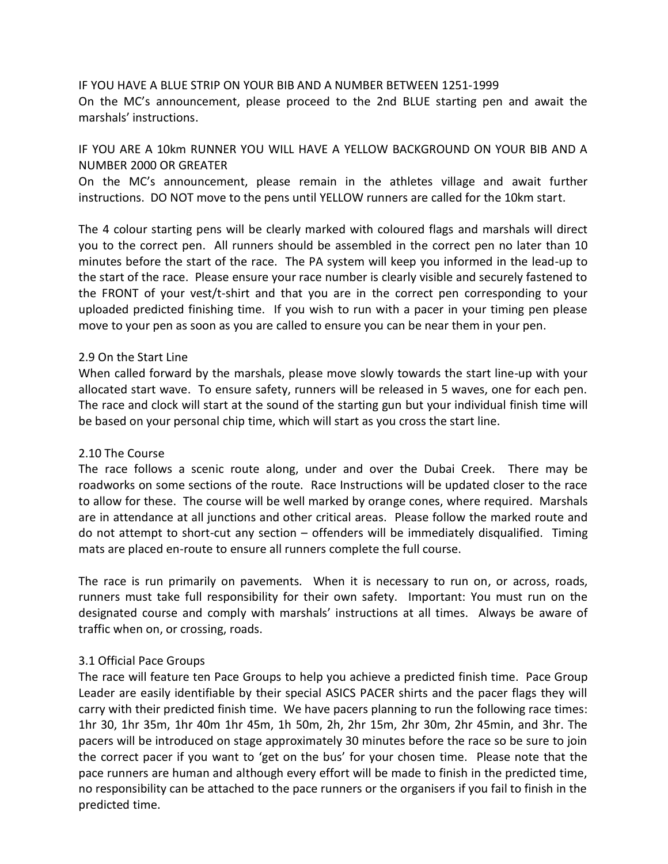IF YOU HAVE A BLUE STRIP ON YOUR BIB AND A NUMBER BETWEEN 1251-1999 On the MC's announcement, please proceed to the 2nd BLUE starting pen and await the marshals' instructions.

# IF YOU ARE A 10km RUNNER YOU WILL HAVE A YELLOW BACKGROUND ON YOUR BIB AND A NUMBER 2000 OR GREATER

On the MC's announcement, please remain in the athletes village and await further instructions. DO NOT move to the pens until YELLOW runners are called for the 10km start.

The 4 colour starting pens will be clearly marked with coloured flags and marshals will direct you to the correct pen. All runners should be assembled in the correct pen no later than 10 minutes before the start of the race. The PA system will keep you informed in the lead-up to the start of the race. Please ensure your race number is clearly visible and securely fastened to the FRONT of your vest/t-shirt and that you are in the correct pen corresponding to your uploaded predicted finishing time. If you wish to run with a pacer in your timing pen please move to your pen as soon as you are called to ensure you can be near them in your pen.

### 2.9 On the Start Line

When called forward by the marshals, please move slowly towards the start line-up with your allocated start wave. To ensure safety, runners will be released in 5 waves, one for each pen. The race and clock will start at the sound of the starting gun but your individual finish time will be based on your personal chip time, which will start as you cross the start line.

# 2.10 The Course

The race follows a scenic route along, under and over the Dubai Creek. There may be roadworks on some sections of the route. Race Instructions will be updated closer to the race to allow for these. The course will be well marked by orange cones, where required. Marshals are in attendance at all junctions and other critical areas. Please follow the marked route and do not attempt to short-cut any section – offenders will be immediately disqualified. Timing mats are placed en-route to ensure all runners complete the full course.

The race is run primarily on pavements. When it is necessary to run on, or across, roads, runners must take full responsibility for their own safety. Important: You must run on the designated course and comply with marshals' instructions at all times. Always be aware of traffic when on, or crossing, roads.

#### 3.1 Official Pace Groups

The race will feature ten Pace Groups to help you achieve a predicted finish time. Pace Group Leader are easily identifiable by their special ASICS PACER shirts and the pacer flags they will carry with their predicted finish time. We have pacers planning to run the following race times: 1hr 30, 1hr 35m, 1hr 40m 1hr 45m, 1h 50m, 2h, 2hr 15m, 2hr 30m, 2hr 45min, and 3hr. The pacers will be introduced on stage approximately 30 minutes before the race so be sure to join the correct pacer if you want to 'get on the bus' for your chosen time. Please note that the pace runners are human and although every effort will be made to finish in the predicted time, no responsibility can be attached to the pace runners or the organisers if you fail to finish in the predicted time.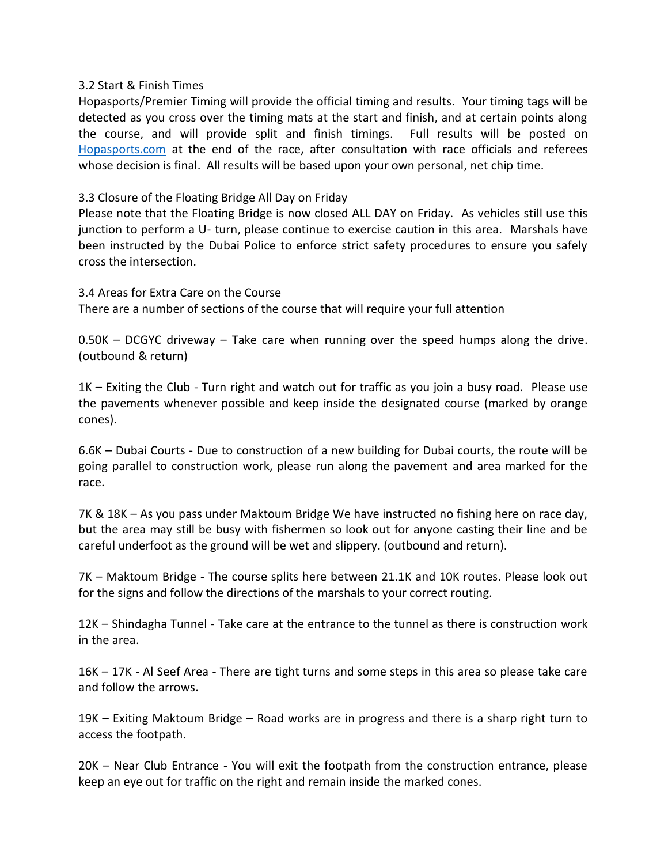### 3.2 Start & Finish Times

Hopasports/Premier Timing will provide the official timing and results. Your timing tags will be detected as you cross over the timing mats at the start and finish, and at certain points along the course, and will provide split and finish timings. Full results will be posted on [Hopasports.com](hopasports.com) at the end of the race, after consultation with race officials and referees whose decision is final. All results will be based upon your own personal, net chip time.

# 3.3 Closure of the Floating Bridge All Day on Friday

Please note that the Floating Bridge is now closed ALL DAY on Friday. As vehicles still use this junction to perform a U- turn, please continue to exercise caution in this area. Marshals have been instructed by the Dubai Police to enforce strict safety procedures to ensure you safely cross the intersection.

3.4 Areas for Extra Care on the Course There are a number of sections of the course that will require your full attention

0.50K – DCGYC driveway – Take care when running over the speed humps along the drive. (outbound & return)

1K – Exiting the Club - Turn right and watch out for traffic as you join a busy road. Please use the pavements whenever possible and keep inside the designated course (marked by orange cones).

6.6K – Dubai Courts - Due to construction of a new building for Dubai courts, the route will be going parallel to construction work, please run along the pavement and area marked for the race.

7K & 18K – As you pass under Maktoum Bridge We have instructed no fishing here on race day, but the area may still be busy with fishermen so look out for anyone casting their line and be careful underfoot as the ground will be wet and slippery. (outbound and return).

7K – Maktoum Bridge - The course splits here between 21.1K and 10K routes. Please look out for the signs and follow the directions of the marshals to your correct routing.

12K – Shindagha Tunnel - Take care at the entrance to the tunnel as there is construction work in the area.

16K – 17K - Al Seef Area - There are tight turns and some steps in this area so please take care and follow the arrows.

19K – Exiting Maktoum Bridge – Road works are in progress and there is a sharp right turn to access the footpath.

20K – Near Club Entrance - You will exit the footpath from the construction entrance, please keep an eye out for traffic on the right and remain inside the marked cones.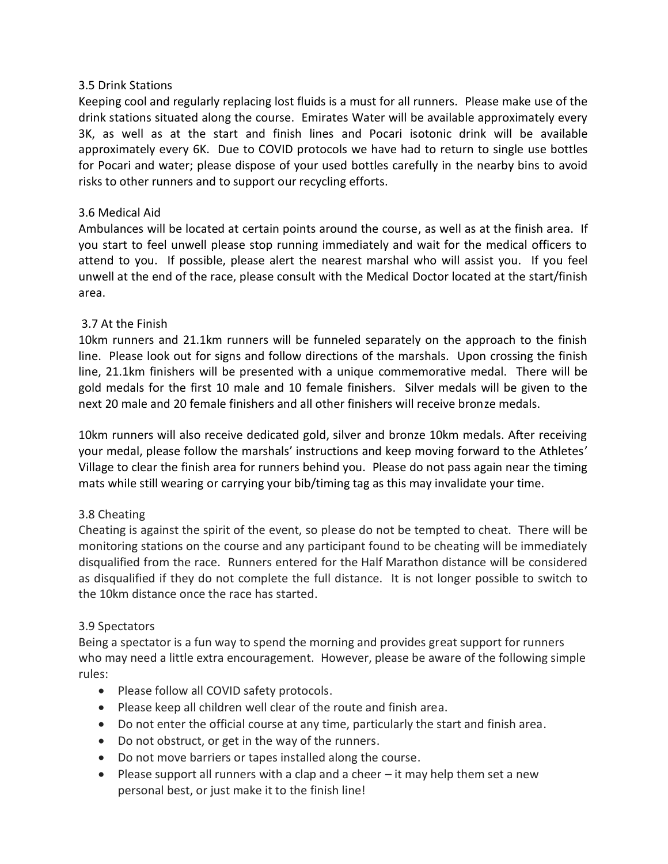# 3.5 Drink Stations

Keeping cool and regularly replacing lost fluids is a must for all runners. Please make use of the drink stations situated along the course. Emirates Water will be available approximately every 3K, as well as at the start and finish lines and Pocari isotonic drink will be available approximately every 6K. Due to COVID protocols we have had to return to single use bottles for Pocari and water; please dispose of your used bottles carefully in the nearby bins to avoid risks to other runners and to support our recycling efforts.

# 3.6 Medical Aid

Ambulances will be located at certain points around the course, as well as at the finish area. If you start to feel unwell please stop running immediately and wait for the medical officers to attend to you. If possible, please alert the nearest marshal who will assist you. If you feel unwell at the end of the race, please consult with the Medical Doctor located at the start/finish area.

# 3.7 At the Finish

10km runners and 21.1km runners will be funneled separately on the approach to the finish line. Please look out for signs and follow directions of the marshals. Upon crossing the finish line, 21.1km finishers will be presented with a unique commemorative medal. There will be gold medals for the first 10 male and 10 female finishers. Silver medals will be given to the next 20 male and 20 female finishers and all other finishers will receive bronze medals.

10km runners will also receive dedicated gold, silver and bronze 10km medals. After receiving your medal, please follow the marshals' instructions and keep moving forward to the Athletes' Village to clear the finish area for runners behind you. Please do not pass again near the timing mats while still wearing or carrying your bib/timing tag as this may invalidate your time.

# 3.8 Cheating

Cheating is against the spirit of the event, so please do not be tempted to cheat. There will be monitoring stations on the course and any participant found to be cheating will be immediately disqualified from the race. Runners entered for the Half Marathon distance will be considered as disqualified if they do not complete the full distance. It is not longer possible to switch to the 10km distance once the race has started.

# 3.9 Spectators

Being a spectator is a fun way to spend the morning and provides great support for runners who may need a little extra encouragement. However, please be aware of the following simple rules:

- Please follow all COVID safety protocols.
- Please keep all children well clear of the route and finish area.
- Do not enter the official course at any time, particularly the start and finish area.
- Do not obstruct, or get in the way of the runners.
- Do not move barriers or tapes installed along the course.
- Please support all runners with a clap and a cheer  $-$  it may help them set a new personal best, or just make it to the finish line!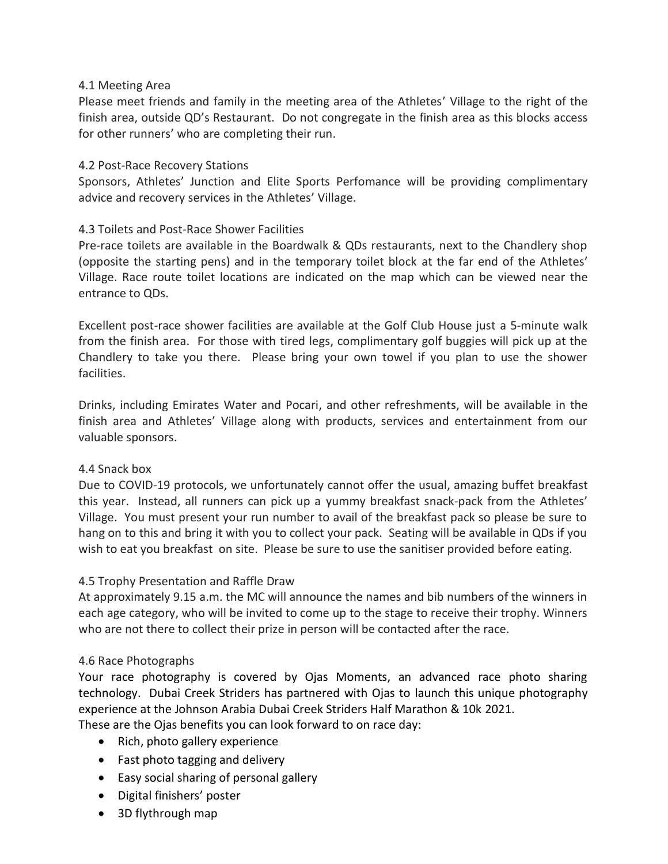# 4.1 Meeting Area

Please meet friends and family in the meeting area of the Athletes' Village to the right of the finish area, outside QD's Restaurant. Do not congregate in the finish area as this blocks access for other runners' who are completing their run.

### 4.2 Post-Race Recovery Stations

Sponsors, Athletes' Junction and Elite Sports Perfomance will be providing complimentary advice and recovery services in the Athletes' Village.

# 4.3 Toilets and Post-Race Shower Facilities

Pre-race toilets are available in the Boardwalk & QDs restaurants, next to the Chandlery shop (opposite the starting pens) and in the temporary toilet block at the far end of the Athletes' Village. Race route toilet locations are indicated on the map which can be viewed near the entrance to QDs.

Excellent post-race shower facilities are available at the Golf Club House just a 5-minute walk from the finish area. For those with tired legs, complimentary golf buggies will pick up at the Chandlery to take you there. Please bring your own towel if you plan to use the shower facilities.

Drinks, including Emirates Water and Pocari, and other refreshments, will be available in the finish area and Athletes' Village along with products, services and entertainment from our valuable sponsors.

# 4.4 Snack box

Due to COVID-19 protocols, we unfortunately cannot offer the usual, amazing buffet breakfast this year. Instead, all runners can pick up a yummy breakfast snack-pack from the Athletes' Village. You must present your run number to avail of the breakfast pack so please be sure to hang on to this and bring it with you to collect your pack. Seating will be available in QDs if you wish to eat you breakfast on site. Please be sure to use the sanitiser provided before eating.

# 4.5 Trophy Presentation and Raffle Draw

At approximately 9.15 a.m. the MC will announce the names and bib numbers of the winners in each age category, who will be invited to come up to the stage to receive their trophy. Winners who are not there to collect their prize in person will be contacted after the race.

#### 4.6 Race Photographs

Your race photography is covered by Ojas Moments, an advanced race photo sharing technology. Dubai Creek Striders has partnered with Ojas to launch this unique photography experience at the Johnson Arabia Dubai Creek Striders Half Marathon & 10k 2021. These are the Ojas benefits you can look forward to on race day:

- Rich, photo gallery experience
- Fast photo tagging and delivery
- Easy social sharing of personal gallery
- Digital finishers' poster
- 3D flythrough map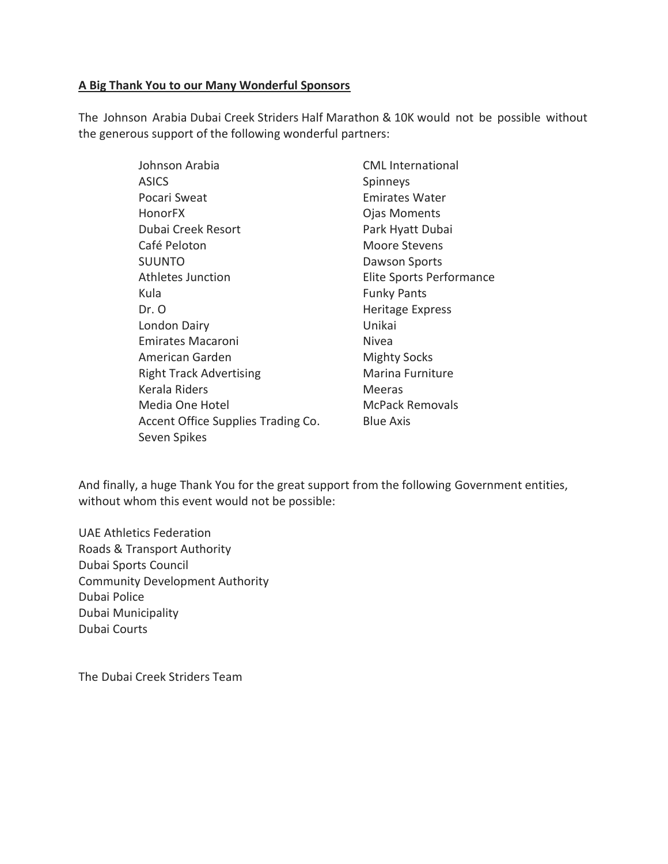# **A Big Thank You to our Many Wonderful Sponsors**

The Johnson Arabia Dubai Creek Striders Half Marathon & 10K would not be possible without the generous support of the following wonderful partners:

| Johnson Arabia                     | <b>CML</b> International |
|------------------------------------|--------------------------|
| <b>ASICS</b>                       | Spinneys                 |
| Pocari Sweat                       | <b>Emirates Water</b>    |
| <b>HonorFX</b>                     | <b>Ojas Moments</b>      |
| Dubai Creek Resort                 | Park Hyatt Dubai         |
| Café Peloton                       | Moore Stevens            |
| <b>SUUNTO</b>                      | Dawson Sports            |
| Athletes Junction                  | Elite Sports Performance |
| Kula                               | <b>Funky Pants</b>       |
| Dr. O                              | <b>Heritage Express</b>  |
| London Dairy                       | Unikai                   |
| Emirates Macaroni                  | Nivea                    |
| American Garden                    | <b>Mighty Socks</b>      |
| <b>Right Track Advertising</b>     | Marina Furniture         |
| <b>Kerala Riders</b>               | Meeras                   |
| Media One Hotel                    | <b>McPack Removals</b>   |
| Accent Office Supplies Trading Co. | <b>Blue Axis</b>         |
| Seven Spikes                       |                          |

And finally, a huge Thank You for the great support from the following Government entities, without whom this event would not be possible:

UAE Athletics Federation Roads & Transport Authority Dubai Sports Council Community Development Authority Dubai Police Dubai Municipality Dubai Courts

The Dubai Creek Striders Team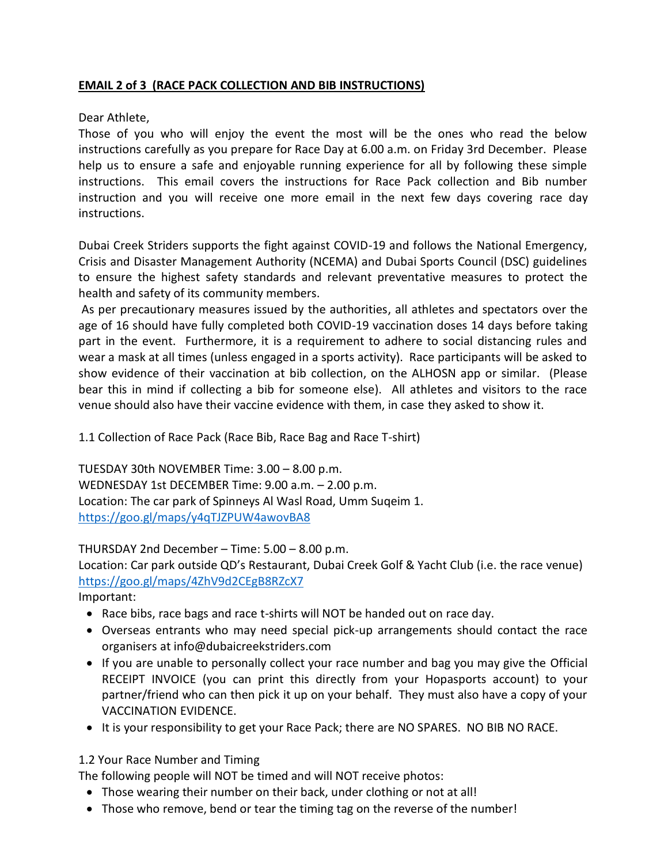# **EMAIL 2 of 3 (RACE PACK COLLECTION AND BIB INSTRUCTIONS)**

# Dear Athlete,

Those of you who will enjoy the event the most will be the ones who read the below instructions carefully as you prepare for Race Day at 6.00 a.m. on Friday 3rd December. Please help us to ensure a safe and enjoyable running experience for all by following these simple instructions. This email covers the instructions for Race Pack collection and Bib number instruction and you will receive one more email in the next few days covering race day instructions.

Dubai Creek Striders supports the fight against COVID-19 and follows the National Emergency, Crisis and Disaster Management Authority (NCEMA) and Dubai Sports Council (DSC) guidelines to ensure the highest safety standards and relevant preventative measures to protect the health and safety of its community members.

As per precautionary measures issued by the authorities, all athletes and spectators over the age of 16 should have fully completed both COVID-19 vaccination doses 14 days before taking part in the event. Furthermore, it is a requirement to adhere to social distancing rules and wear a mask at all times (unless engaged in a sports activity). Race participants will be asked to show evidence of their vaccination at bib collection, on the ALHOSN app or similar. (Please bear this in mind if collecting a bib for someone else). All athletes and visitors to the race venue should also have their vaccine evidence with them, in case they asked to show it.

1.1 Collection of Race Pack (Race Bib, Race Bag and Race T-shirt)

TUESDAY 30th NOVEMBER Time: 3.00 – 8.00 p.m. WEDNESDAY 1st DECEMBER Time: 9.00 a.m. – 2.00 p.m. Location: The car park of Spinneys Al Wasl Road, Umm Suqeim 1. <https://goo.gl/maps/y4qTJZPUW4awovBA8>

THURSDAY 2nd December – Time: 5.00 – 8.00 p.m.

Location: Car park outside QD's Restaurant, Dubai Creek Golf & Yacht Club (i.e. the race venue) <https://goo.gl/maps/4ZhV9d2CEgB8RZcX7>

Important:

- Race bibs, race bags and race t-shirts will NOT be handed out on race day.
- Overseas entrants who may need special pick-up arrangements should contact the race organisers at info@dubaicreekstriders.com
- If you are unable to personally collect your race number and bag you may give the Official RECEIPT INVOICE (you can print this directly from your Hopasports account) to your partner/friend who can then pick it up on your behalf. They must also have a copy of your VACCINATION EVIDENCE.
- It is your responsibility to get your Race Pack; there are NO SPARES. NO BIB NO RACE.

1.2 Your Race Number and Timing

The following people will NOT be timed and will NOT receive photos:

- Those wearing their number on their back, under clothing or not at all!
- Those who remove, bend or tear the timing tag on the reverse of the number!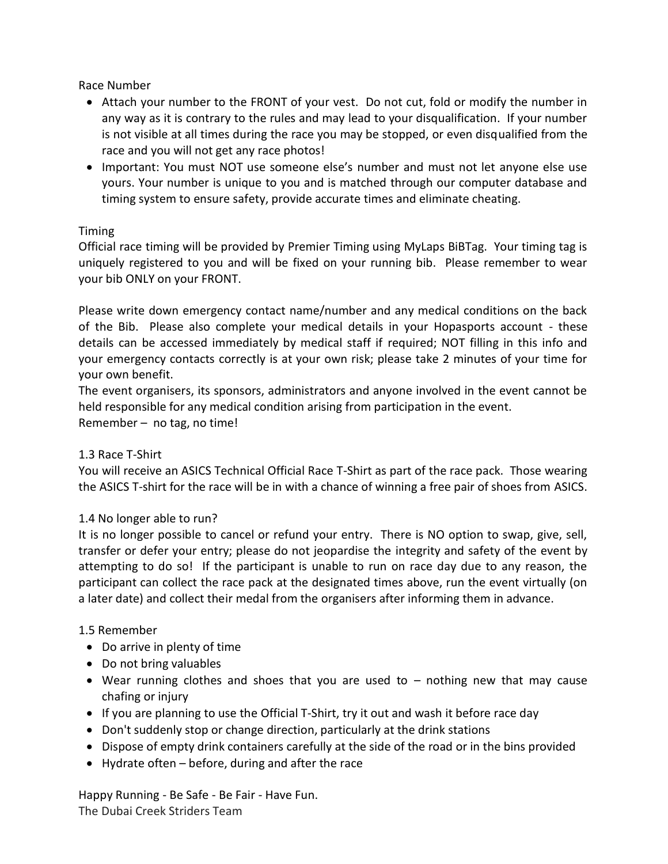Race Number

- Attach your number to the FRONT of your vest. Do not cut, fold or modify the number in any way as it is contrary to the rules and may lead to your disqualification. If your number is not visible at all times during the race you may be stopped, or even disqualified from the race and you will not get any race photos!
- Important: You must NOT use someone else's number and must not let anyone else use yours. Your number is unique to you and is matched through our computer database and timing system to ensure safety, provide accurate times and eliminate cheating.

# Timing

Official race timing will be provided by Premier Timing using MyLaps BiBTag. Your timing tag is uniquely registered to you and will be fixed on your running bib. Please remember to wear your bib ONLY on your FRONT.

Please write down emergency contact name/number and any medical conditions on the back of the Bib. Please also complete your medical details in your Hopasports account - these details can be accessed immediately by medical staff if required; NOT filling in this info and your emergency contacts correctly is at your own risk; please take 2 minutes of your time for your own benefit.

The event organisers, its sponsors, administrators and anyone involved in the event cannot be held responsible for any medical condition arising from participation in the event.

Remember – no tag, no time!

# 1.3 Race T-Shirt

You will receive an ASICS Technical Official Race T-Shirt as part of the race pack. Those wearing the ASICS T-shirt for the race will be in with a chance of winning a free pair of shoes from ASICS.

# 1.4 No longer able to run?

It is no longer possible to cancel or refund your entry. There is NO option to swap, give, sell, transfer or defer your entry; please do not jeopardise the integrity and safety of the event by attempting to do so! If the participant is unable to run on race day due to any reason, the participant can collect the race pack at the designated times above, run the event virtually (on a later date) and collect their medal from the organisers after informing them in advance.

# 1.5 Remember

- Do arrive in plenty of time
- Do not bring valuables
- Wear running clothes and shoes that you are used to nothing new that may cause chafing or injury
- If you are planning to use the Official T-Shirt, try it out and wash it before race day
- Don't suddenly stop or change direction, particularly at the drink stations
- Dispose of empty drink containers carefully at the side of the road or in the bins provided
- Hydrate often before, during and after the race

Happy Running - Be Safe - Be Fair - Have Fun. The Dubai Creek Striders Team